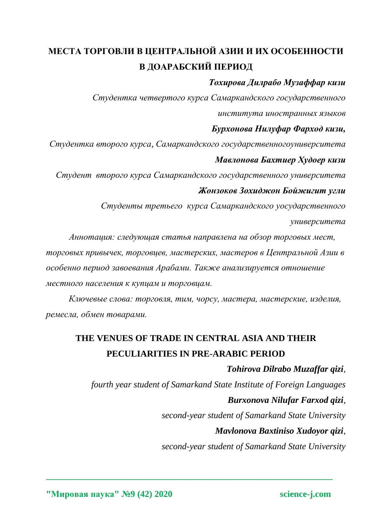# **МЕСТА ТОРГОВЛИ В ЦЕНТРАЛЬНОЙ АЗИИ И ИХ ОСОБЕННОСТИ В ДОАРАБСКИЙ ПЕРИОД**

### *Тохирова Дилрабо Музаффар кизи*

*Студентка четвертого курса Самаркандского государственного института иностранных языков*

### *Бурхонова Нилуфар Фарход кизи,*

*Студентка второго курса, Самаркандского государственногоуниверситета Мавлонова Бахтиер Худоер кизи*

*Студент второго курса Самаркандского государственного университета Жонзоков Зохиджон Бойжигит угли*

> *Студенты третьего курса Самаркандского уосударственного университета*

*Аннотация: следующая статья направлена на обзор торговых мест, торговых привычек, торговцев, мастерских, мастеров в Центральной Азии в особенно период завоевания Арабами. Также анализируется отношение местного населения к купцам и торговцам.*

*Ключевые слова: торговля, тим, чорсу, мастера, мастерские, изделия, ремесла, обмен товарами.*

## **THE VENUES OF TRADE IN CENTRAL ASIA AND THEIR PECULIARITIES IN PRE-ARABIC PERIOD**

**\_\_\_\_\_\_\_\_\_\_\_\_\_\_\_\_\_\_\_\_\_\_\_\_\_\_\_\_\_\_\_\_\_\_\_\_\_\_\_\_\_\_\_\_\_\_\_\_\_\_\_\_\_\_\_\_\_\_\_\_\_\_\_\_**

*Tohirova Dilrabo Muzaffar qizi, fourth year student of Samarkand State Institute of Foreign Languages Burxonova Nilufar Farxod qizi, second-year student of Samarkand State University Mavlonova Baxtiniso Xudoyor qizi,*

*second-year student of Samarkand State University*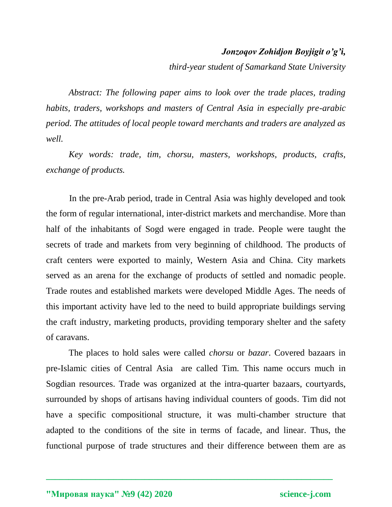### *Jonzoqov Zohidjon Boyjigit o'g'i,*

*third-year student of Samarkand State University*

*Abstract: The following paper aims to look over the trade places, trading habits, traders, workshops and masters of Central Asia in especially pre-arabic period. The attitudes of local people toward merchants and traders are analyzed as well.* 

*Key words: trade, tim, chorsu, masters, workshops, products, crafts, exchange of products.*

In the pre-Arab period, trade in Central Asia was highly developed and took the form of regular international, inter-district markets and merchandise. More than half of the inhabitants of Sogd were engaged in trade. People were taught the secrets of trade and markets from very beginning of childhood. The products of craft centers were exported to mainly, Western Asia and China. City markets served as an arena for the exchange of products of settled and nomadic people. Trade routes and established markets were developed Middle Ages. The needs of this important activity have led to the need to build appropriate buildings serving the craft industry, marketing products, providing temporary shelter and the safety of caravans.

The places to hold sales were called *chorsu* or *bazar*. Covered bazaars in pre-Islamic cities of Central Asia are called Tim. This name occurs much in Sogdian resources. Trade was organized at the intra-quarter bazaars, courtyards, surrounded by shops of artisans having individual counters of goods. Tim did not have a specific compositional structure, it was multi-chamber structure that adapted to the conditions of the site in terms of facade, and linear. Thus, the functional purpose of trade structures and their difference between them are as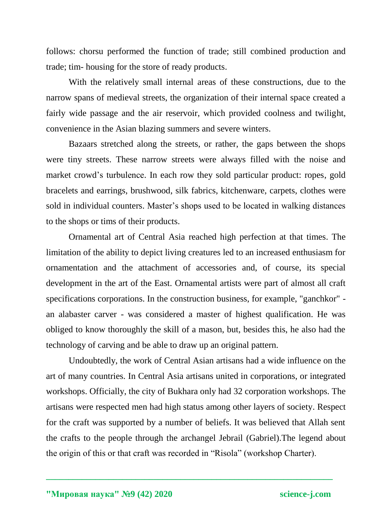follows: chorsu performed the function of trade; still combined production and trade; tim- housing for the store of ready products.

With the relatively small internal areas of these constructions, due to the narrow spans of medieval streets, the organization of their internal space created a fairly wide passage and the air reservoir, which provided coolness and twilight, convenience in the Asian blazing summers and severe winters.

Bazaars stretched along the streets, or rather, the gaps between the shops were tiny streets. These narrow streets were always filled with the noise and market crowd's turbulence. In each row they sold particular product: ropes, gold bracelets and earrings, brushwood, silk fabrics, kitchenware, carpets, clothes were sold in individual counters. Master's shops used to be located in walking distances to the shops or tims of their products.

Ornamental art of Central Asia reached high perfection at that times. The limitation of the ability to depict living creatures led to an increased enthusiasm for ornamentation and the attachment of accessories and, of course, its special development in the art of the East. Ornamental artists were part of almost all craft specifications corporations. In the construction business, for example, "ganchkor" an alabaster carver - was considered a master of highest qualification. He was obliged to know thoroughly the skill of a mason, but, besides this, he also had the technology of carving and be able to draw up an original pattern.

Undoubtedly, the work of Central Asian artisans had a wide influence on the art of many countries. In Central Asia artisans united in corporations, or integrated workshops. Officially, the city of Bukhara only had 32 corporation workshops. The artisans were respected men had high status among other layers of society. Respect for the craft was supported by a number of beliefs. It was believed that Allah sent the crafts to the people through the archangel Jebrail (Gabriel).The legend about the origin of this or that craft was recorded in "Risola" (workshop Charter).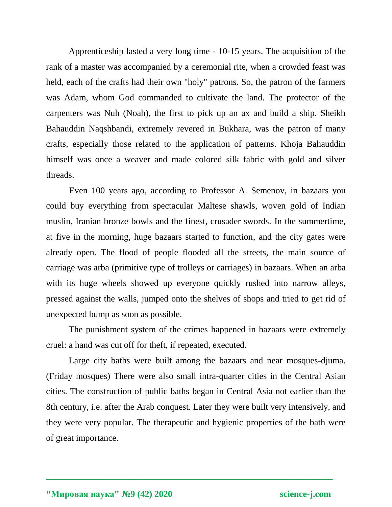Apprenticeship lasted a very long time - 10-15 years. The acquisition of the rank of a master was accompanied by a ceremonial rite, when a crowded feast was held, each of the crafts had their own "holy" patrons. So, the patron of the farmers was Adam, whom God commanded to cultivate the land. The protector of the carpenters was Nuh (Noah), the first to pick up an ax and build a ship. Sheikh Bahauddin Naqshbandi, extremely revered in Bukhara, was the patron of many crafts, especially those related to the application of patterns. Khoja Bahauddin himself was once a weaver and made colored silk fabric with gold and silver threads.

Even 100 years ago, according to Professor A. Semenov, in bazaars you could buy everything from spectacular Maltese shawls, woven gold of Indian muslin, Iranian bronze bowls and the finest, crusader swords. In the summertime, at five in the morning, huge bazaars started to function, and the city gates were already open. The flood of people flooded all the streets, the main source of carriage was arba (primitive type of trolleys or carriages) in bazaars. When an arba with its huge wheels showed up everyone quickly rushed into narrow alleys, pressed against the walls, jumped onto the shelves of shops and tried to get rid of unexpected bump as soon as possible.

The punishment system of the crimes happened in bazaars were extremely cruel: a hand was cut off for theft, if repeated, executed.

Large city baths were built among the bazaars and near mosques-djuma. (Friday mosques) There were also small intra-quarter cities in the Central Asian cities. The construction of public baths began in Central Asia not earlier than the 8th century, i.e. after the Arab conquest. Later they were built very intensively, and they were very popular. The therapeutic and hygienic properties of the bath were of great importance.